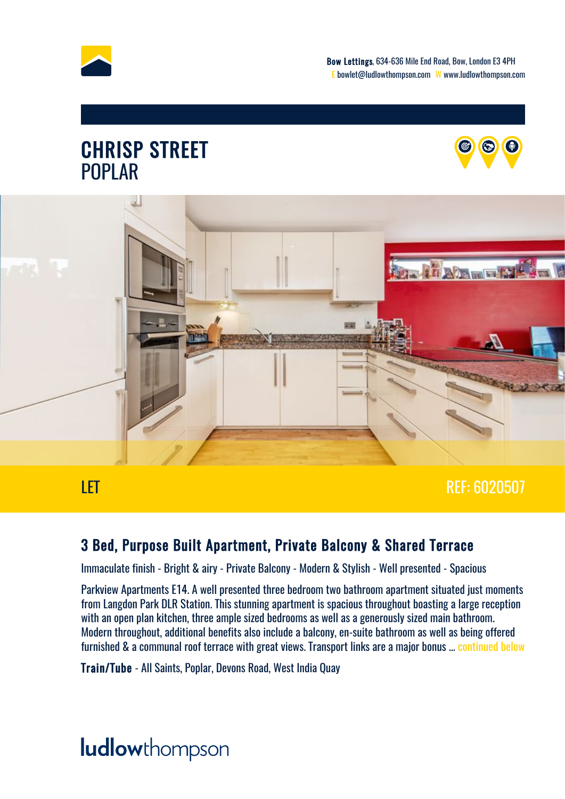

#### CHRISP STREET POPLAR





#### LET A REF: 6020507

#### 3 Bed, Purpose Built Apartment, Private Balcony & Shared Terrace

Immaculate finish - Bright & airy - Private Balcony - Modern & Stylish - Well presented - Spacious

Parkview Apartments E14. A well presented three bedroom two bathroom apartment situated just moments from Langdon Park DLR Station. This stunning apartment is spacious throughout boasting a large reception with an open plan kitchen, three ample sized bedrooms as well as a generously sized main bathroom. Modern throughout, additional benefits also include a balcony, en-suite bathroom as well as being offered furnished & a communal roof terrace with great views. Transport links are a major bonus ... [continued below](#page-5-0)

Train/Tube - All Saints, Poplar, Devons Road, West India Quay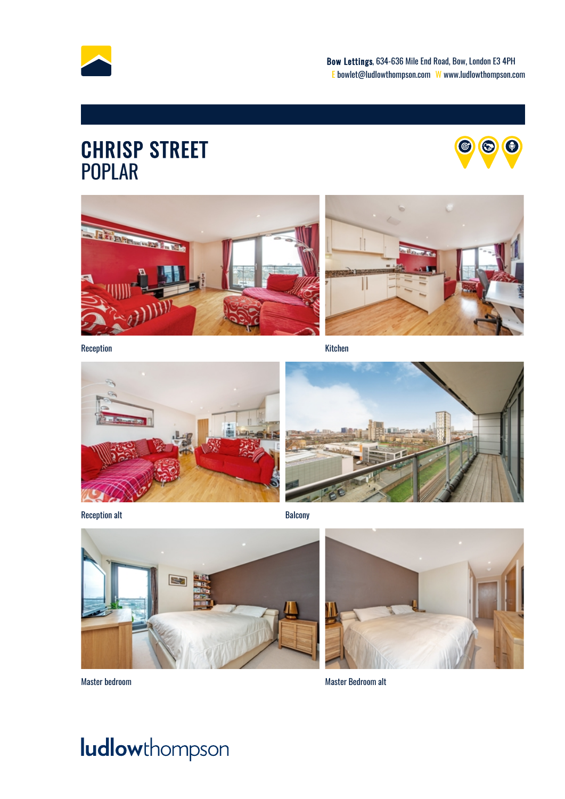

### CHRISP STREET POPLAR







Reception Kitchen



Reception alt **Balcony** 





Master bedroom Master Bedroom alt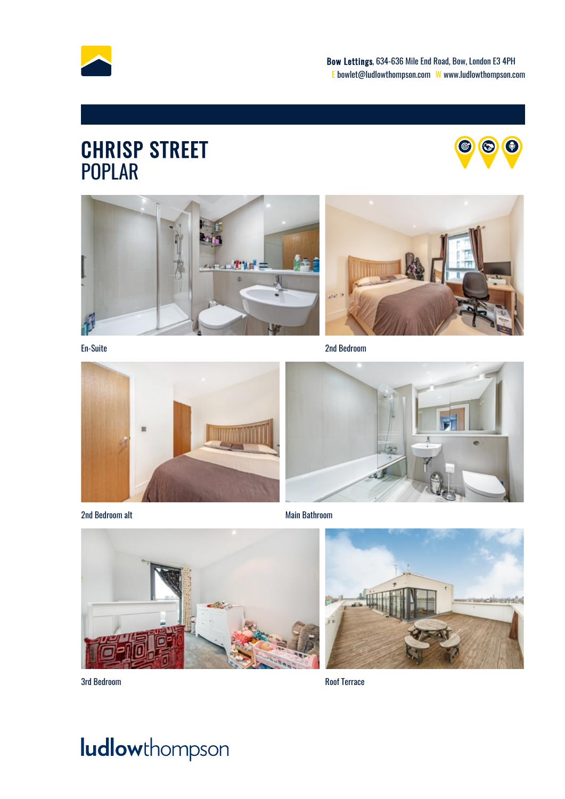

### CHRISP STREET POPLAR







En-Suite 2nd Bedroom



2nd Bedroom alt **Main Bathroom** Main Bathroom







3rd Bedroom Roof Terrace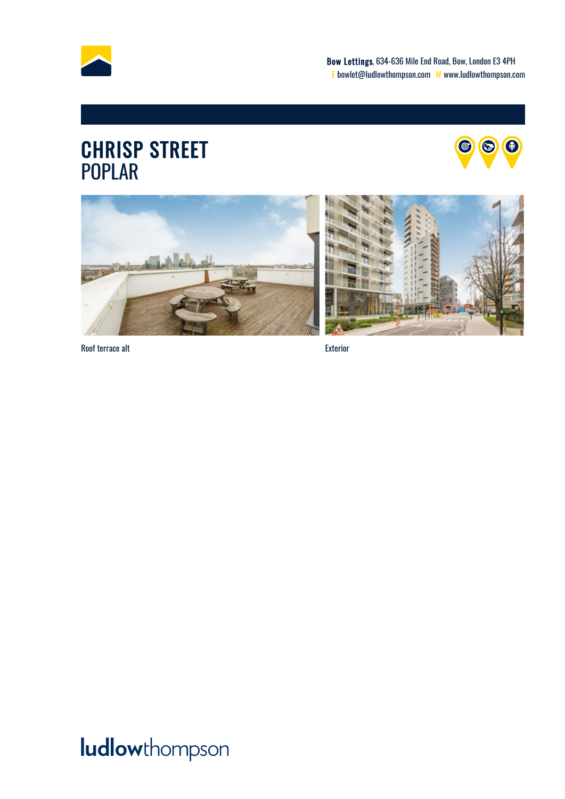

### CHRISP STREET POPLAR







Roof terrace alt exterior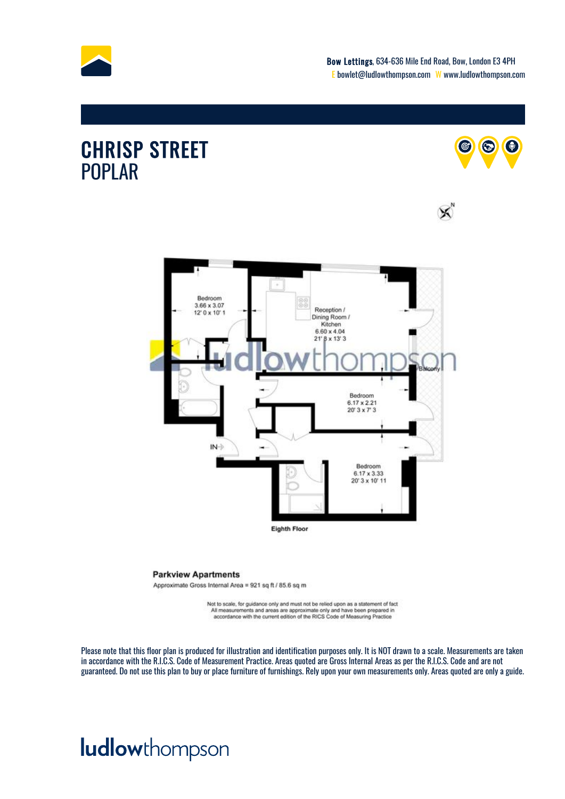

X

#### CHRISP STREET POPLAR





#### **Parkview Apartments**

Approximate Gross Internal Area = 921 sq ft / 85.6 sq m

Not to scale, for guidance only and must not be relied upon as a statement of fact All measurements and areas are approximate only and have been prepared in accordance with the current edition of the RICS Code of Measuring Practice

Please note that this floor plan is produced for illustration and identification purposes only. It is NOT drawn to a scale. Measurements are taken in accordance with the R.I.C.S. Code of Measurement Practice. Areas quoted are Gross Internal Areas as per the R.I.C.S. Code and are not guaranteed. Do not use this plan to buy or place furniture of furnishings. Rely upon your own measurements only. Areas quoted are only a guide.

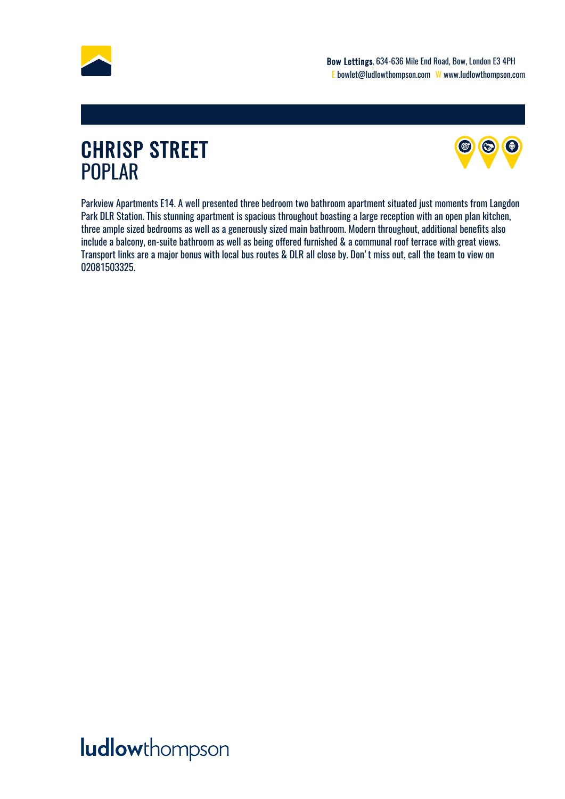<span id="page-5-0"></span>

### CHRISP STREET POPLAR



Parkview Apartments E14. A well presented three bedroom two bathroom apartment situated just moments from Langdon Park DLR Station. This stunning apartment is spacious throughout boasting a large reception with an open plan kitchen, three ample sized bedrooms as well as a generously sized main bathroom. Modern throughout, additional benefits also include a balcony, en-suite bathroom as well as being offered furnished & a communal roof terrace with great views. Transport links are a major bonus with local bus routes & DLR all close by. Don't miss out, call the team to view on 02081503325.

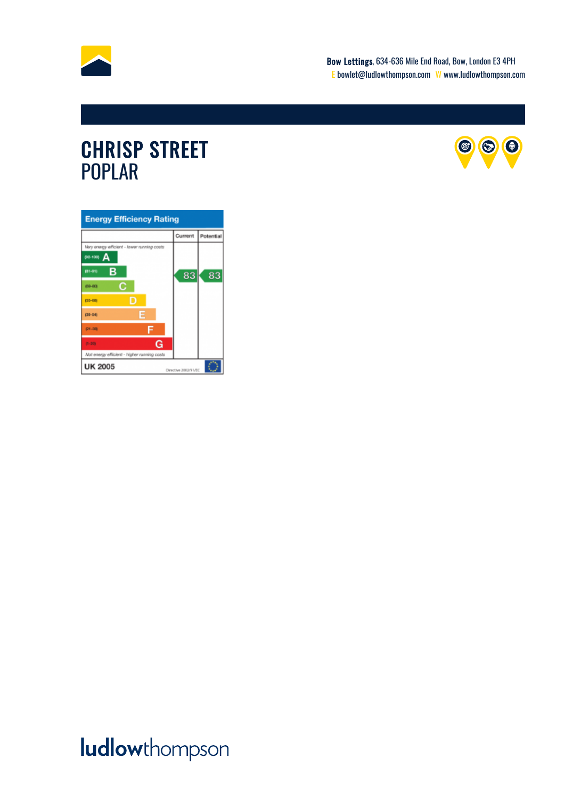

### CHRISP STREET POPLAR